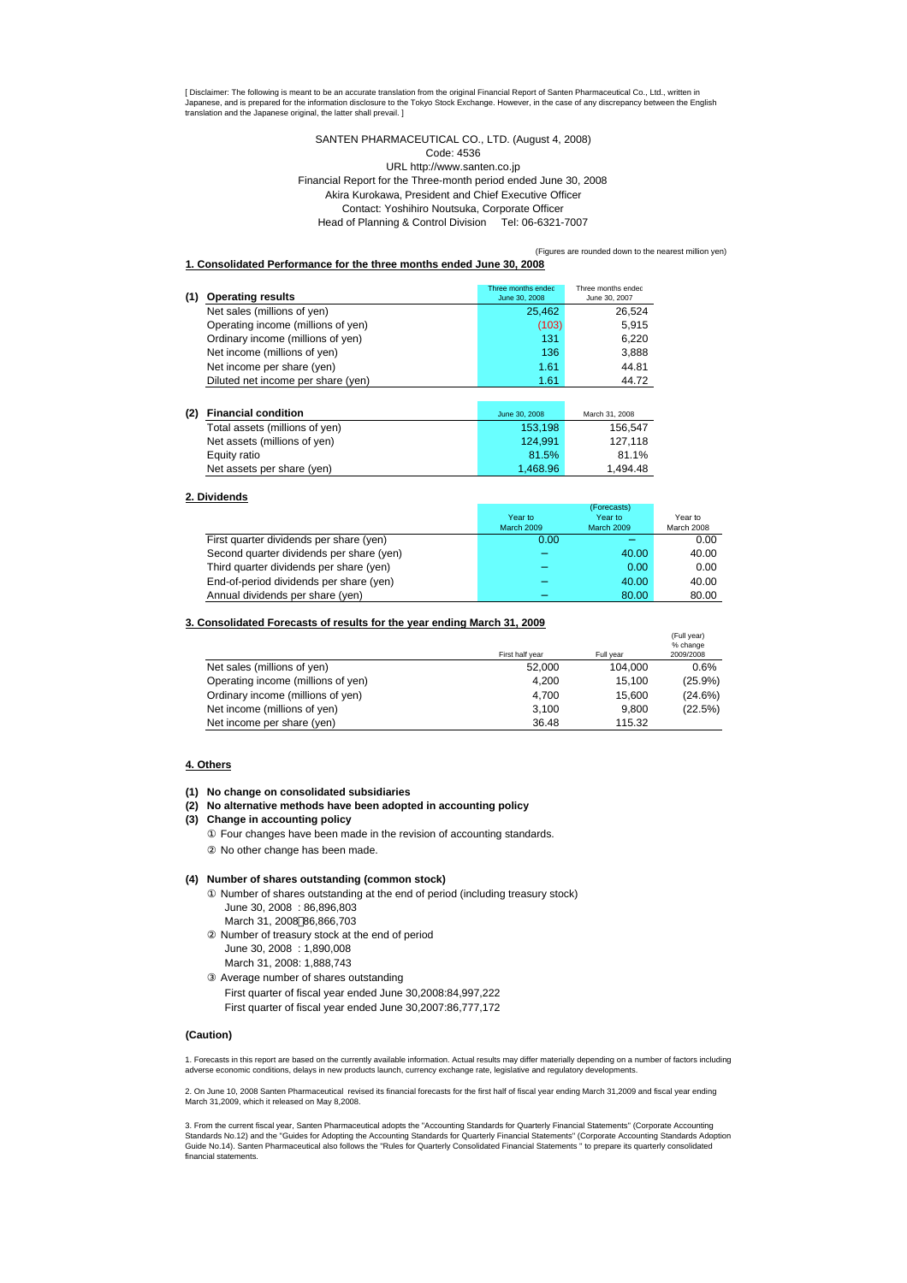[ Disclaimer: The following is meant to be an accurate translation from the original Financial Report of Santen Pharmaceutical Co., Ltd., written in Japanese, and is prepared for the information disclosure to the Tokyo Stock Exchange. However, in the case of any discrepancy between the English<br>translation and the Japanese original, the latter shall prevail. ]

> SANTEN PHARMACEUTICAL CO., LTD. (August 4, 2008) Code: 4536 URL http://www.santen.co.jp Financial Report for the Three-month period ended June 30, 2008 Akira Kurokawa, President and Chief Executive Officer Contact: Yoshihiro Noutsuka, Corporate Officer Head of Planning & Control Division Tel: 06-6321-7007

> > (Figures are rounded down to the nearest million yen)

#### **1. Consolidated Performance for the three months ended June 30, 2008**

| <b>Operating results</b><br>(1)    | Three months ended<br>June 30, 2008 | Three months ended<br>June 30, 2007 |
|------------------------------------|-------------------------------------|-------------------------------------|
| Net sales (millions of yen)        | 25.462                              | 26.524                              |
| Operating income (millions of yen) | (103)                               | 5.915                               |
| Ordinary income (millions of yen)  | 131                                 | 6.220                               |
| Net income (millions of yen)       | 136                                 | 3,888                               |
| Net income per share (yen)         | 1.61                                | 44.81                               |
| Diluted net income per share (yen) | 1.61                                | 44.72                               |

| (2) | <b>Financial condition</b>     | June 30, 2008 | March 31, 2008 |
|-----|--------------------------------|---------------|----------------|
|     | Total assets (millions of yen) | 153.198       | 156.547        |
|     | Net assets (millions of yen)   | 124.991       | 127.118        |
|     | Equity ratio                   | 81.5%         | 81.1%          |
|     | Net assets per share (yen)     | 1.468.96      | 1.494.48       |

### **2. Dividends**

|                                          |            | (Forecasts) |            |
|------------------------------------------|------------|-------------|------------|
|                                          | Year to    | Year to     | Year to    |
|                                          | March 2009 | March 2009  | March 2008 |
| First quarter dividends per share (yen)  | 0.00       |             | 0.00       |
| Second quarter dividends per share (yen) |            | 40.00       | 40.00      |
| Third quarter dividends per share (yen)  |            | 0.00        | 0.00       |
| End-of-period dividends per share (yen)  |            | 40.00       | 40.00      |
| Annual dividends per share (yen)         |            | 80.00       | 80.00      |

#### **3. Consolidated Forecasts of results for the year ending March 31, 2009**

|                                    |                 |           | (Full year)<br>% change |
|------------------------------------|-----------------|-----------|-------------------------|
|                                    | First half year | Full year | 2009/2008               |
| Net sales (millions of yen)        | 52.000          | 104.000   | 0.6%                    |
| Operating income (millions of yen) | 4.200           | 15.100    | $(25.9\%)$              |
| Ordinary income (millions of yen)  | 4.700           | 15.600    | (24.6%)                 |
| Net income (millions of yen)       | 3.100           | 9.800     | (22.5%)                 |
| Net income per share (yen)         | 36.48           | 115.32    |                         |

#### **4. Others**

- **(1) No change on consolidated subsidiaries**
- **(2) No alternative methods have been adopted in accounting policy**

#### **(3) Change in accounting policy**

 No other change has been made. Four changes have been made in the revision of accounting standards.

#### **(4) Number of shares outstanding (common stock)**

 Number of shares outstanding at the end of period (including treasury stock) June 30, 2008 : 86,896,803 March 31, 2008 86,866,703 Number of treasury stock at the end of period June 30, 2008 : 1,890,008 March 31, 2008: 1,888,743 Average number of shares outstanding First quarter of fiscal year ended June 30,2008:84,997,222 First quarter of fiscal year ended June 30,2007:86,777,172

### **(Caution)**

1. Forecasts in this report are based on the currently available information. Actual results may differ materially depending on a number of factors including<br>adverse economic conditions, delays in new products launch, curr

2. On June 10, 2008 Santen Pharmaceutical revised its financial forecasts for the first half of fiscal year ending March 31,2009 and fiscal year ending March 31,2009, which it released on May 8,2008.

3. From the current fiscal year, Santen Pharmaceutical adopts the "Accounting Standards for Quarterly Financial Statements'' (Corporate Accounting Standards No.12) and the "Guides for Adopting the Accounting Standards for Quarterly Financial Statements" (Corporate Accounting Standards Adoption<br>Guide No.14). Santen Pharmaceutical also follows the "Rules for Quarterly financial statements.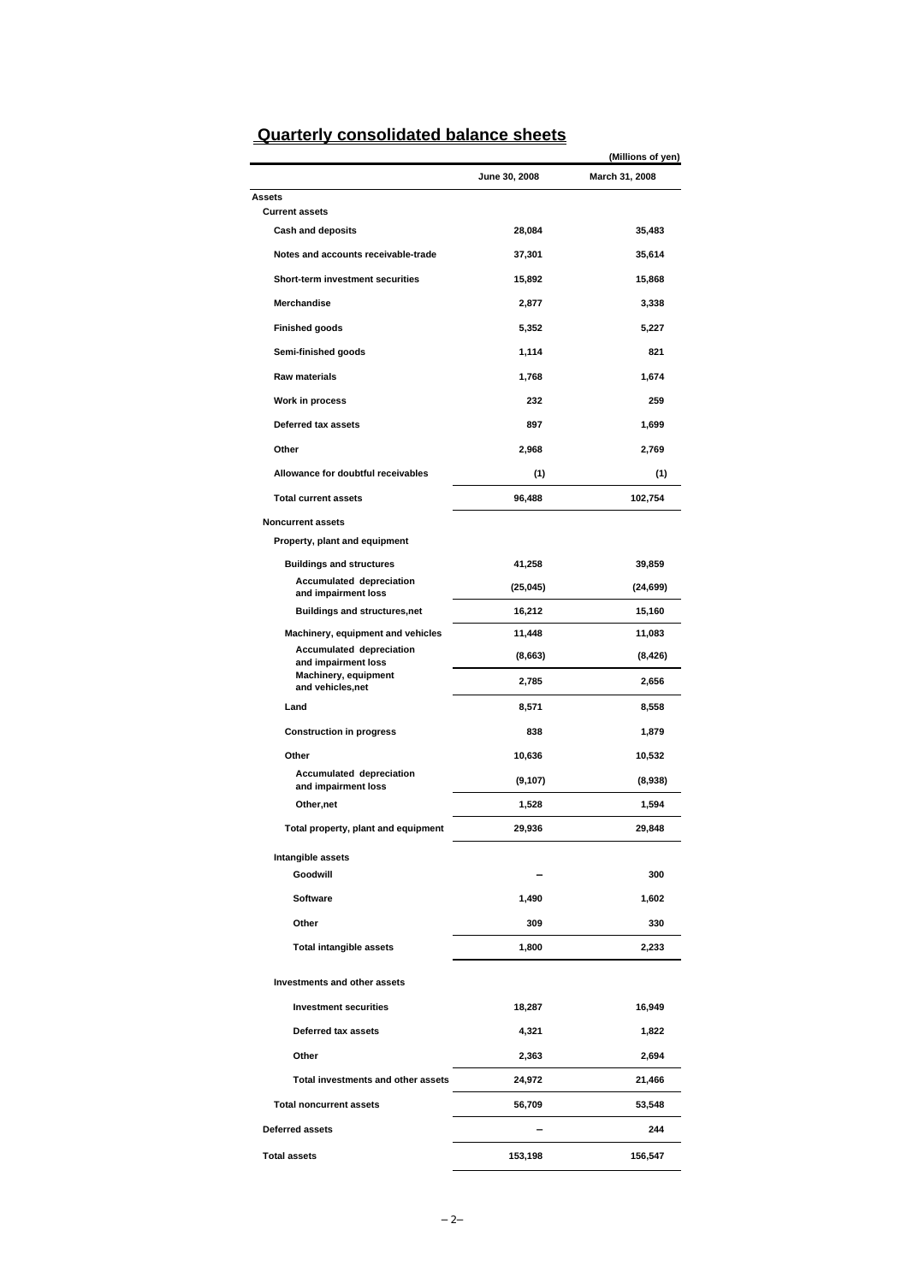|                                                 |               | (Millions of yen) |
|-------------------------------------------------|---------------|-------------------|
|                                                 | June 30, 2008 | March 31, 2008    |
| Assets                                          |               |                   |
| <b>Current assets</b>                           |               |                   |
| <b>Cash and deposits</b>                        | 28,084        | 35,483            |
| Notes and accounts receivable-trade             | 37,301        | 35,614            |
| Short-term investment securities                | 15,892        | 15,868            |
| <b>Merchandise</b>                              | 2,877         | 3,338             |
| <b>Finished goods</b>                           | 5,352         | 5,227             |
| Semi-finished goods                             | 1,114         | 821               |
| <b>Raw materials</b>                            | 1,768         | 1,674             |
| Work in process                                 | 232           | 259               |
| Deferred tax assets                             | 897           | 1,699             |
| Other                                           | 2,968         | 2,769             |
| Allowance for doubtful receivables              | (1)           | (1)               |
| <b>Total current assets</b>                     | 96,488        | 102,754           |
| <b>Noncurrent assets</b>                        |               |                   |
| Property, plant and equipment                   |               |                   |
| <b>Buildings and structures</b>                 | 41,258        | 39,859            |
| Accumulated depreciation<br>and impairment loss | (25, 045)     | (24,699)          |
| <b>Buildings and structures,net</b>             | 16,212        | 15,160            |
| Machinery, equipment and vehicles               | 11,448        | 11,083            |
| Accumulated depreciation<br>and impairment loss | (8,663)       | (8, 426)          |
| Machinery, equipment<br>and vehicles, net       | 2,785         | 2,656             |
| Land                                            | 8,571         | 8,558             |
| <b>Construction in progress</b>                 | 838           | 1,879             |
| Other                                           | 10,636        | 10,532            |
| Accumulated depreciation<br>and impairment loss | (9, 107)      | (8,938)           |
| Other, net                                      | 1,528         | 1,594             |
| Total property, plant and equipment             | 29,936        | 29,848            |
| Intangible assets                               |               |                   |
| Goodwill                                        |               | 300               |
| Software                                        | 1,490         | 1,602             |
| Other                                           | 309           | 330               |
| <b>Total intangible assets</b>                  | 1,800         | 2,233             |
| Investments and other assets                    |               |                   |
| <b>Investment securities</b>                    | 18,287        | 16,949            |
| Deferred tax assets                             | 4,321         | 1,822             |
| Other                                           | 2,363         | 2,694             |
| Total investments and other assets              | 24,972        | 21,466            |
| <b>Total noncurrent assets</b>                  |               | 53,548            |
|                                                 | 56,709        |                   |
| <b>Deferred assets</b>                          |               | 244               |
| <b>Total assets</b>                             | 153,198       | 156,547           |

## **Quarterly consolidated balance sheets**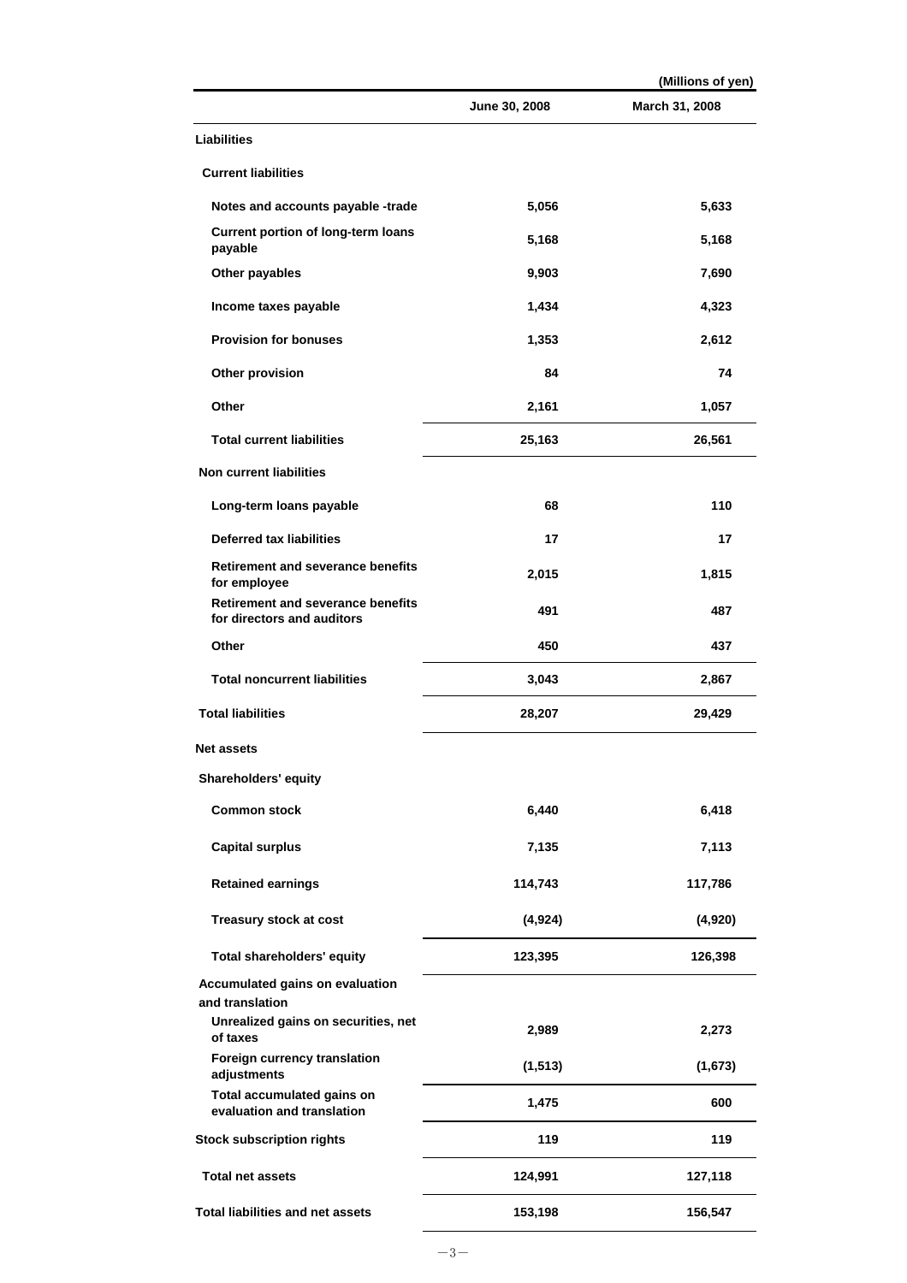|                                                                        |               | (Millions of yen) |
|------------------------------------------------------------------------|---------------|-------------------|
|                                                                        | June 30, 2008 | March 31, 2008    |
| Liabilities                                                            |               |                   |
| <b>Current liabilities</b>                                             |               |                   |
| Notes and accounts payable -trade                                      | 5,056         | 5,633             |
| <b>Current portion of long-term loans</b><br>payable                   | 5,168         | 5,168             |
| Other payables                                                         | 9,903         | 7,690             |
| Income taxes payable                                                   | 1,434         | 4,323             |
| <b>Provision for bonuses</b>                                           | 1,353         | 2,612             |
| Other provision                                                        | 84            | 74                |
| Other                                                                  | 2,161         | 1,057             |
| <b>Total current liabilities</b>                                       | 25,163        | 26,561            |
| <b>Non current liabilities</b>                                         |               |                   |
| Long-term loans payable                                                | 68            | 110               |
| <b>Deferred tax liabilities</b>                                        | 17            | 17                |
| <b>Retirement and severance benefits</b><br>for employee               | 2,015         | 1,815             |
| <b>Retirement and severance benefits</b><br>for directors and auditors | 491           | 487               |
| Other                                                                  | 450           | 437               |
| <b>Total noncurrent liabilities</b>                                    | 3,043         | 2,867             |
| <b>Total liabilities</b>                                               | 28,207        | 29,429            |
| Net assets                                                             |               |                   |
| Shareholders' equity                                                   |               |                   |
| <b>Common stock</b>                                                    | 6,440         | 6,418             |
| <b>Capital surplus</b>                                                 | 7,135         | 7,113             |
| <b>Retained earnings</b>                                               | 114,743       | 117,786           |
| <b>Treasury stock at cost</b>                                          | (4, 924)      | (4,920)           |
| <b>Total shareholders' equity</b>                                      | 123,395       | 126,398           |
| Accumulated gains on evaluation<br>and translation                     |               |                   |
| Unrealized gains on securities, net<br>of taxes                        | 2,989         | 2,273             |
| Foreign currency translation<br>adjustments                            | (1, 513)      | (1,673)           |
| Total accumulated gains on<br>evaluation and translation               | 1,475         | 600               |
| <b>Stock subscription rights</b>                                       | 119           | 119               |
| <b>Total net assets</b>                                                | 124,991       | 127,118           |
| <b>Total liabilities and net assets</b>                                | 153,198       | 156,547           |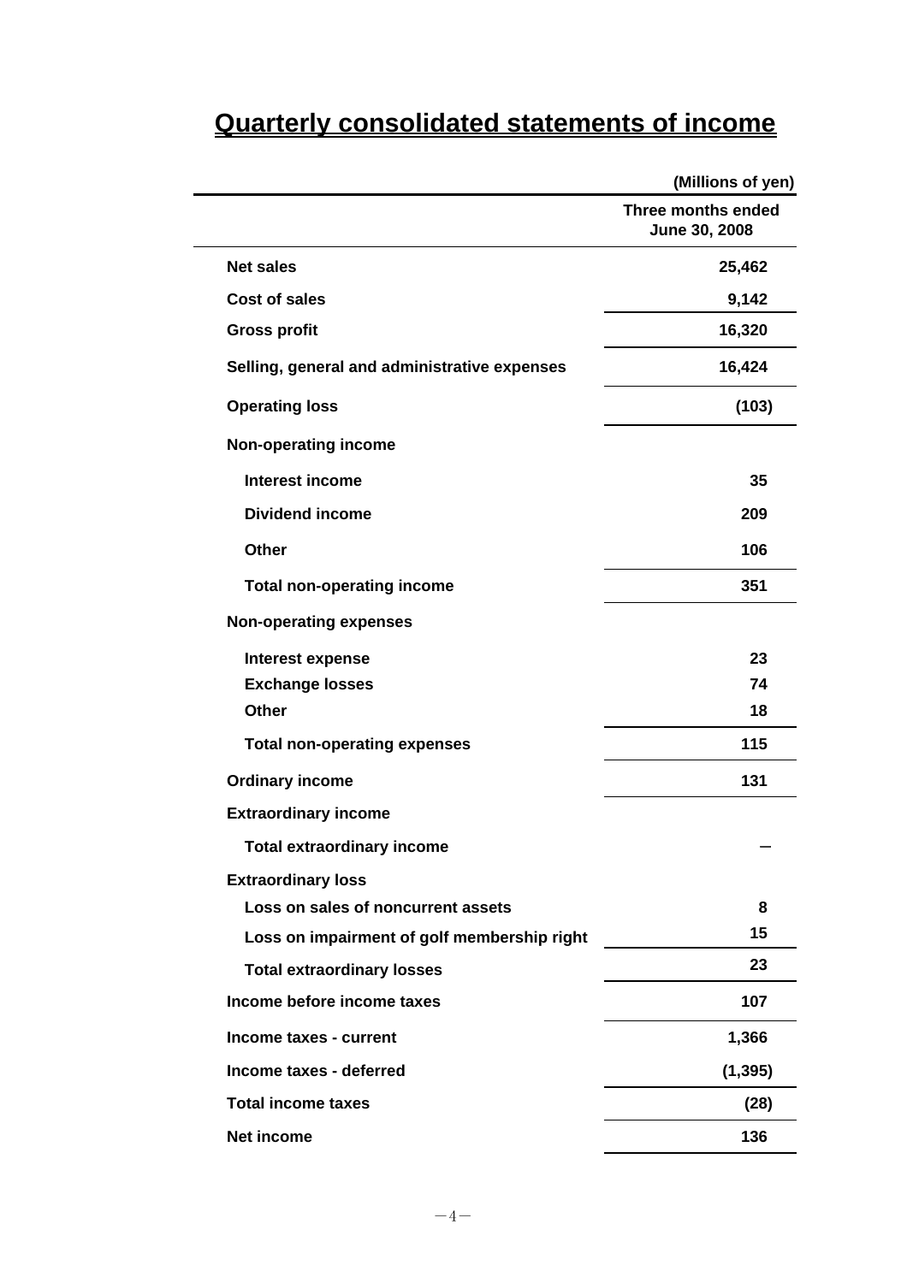# **Quarterly consolidated statements of income**

|                                              | (Millions of yen)                   |
|----------------------------------------------|-------------------------------------|
|                                              | Three months ended<br>June 30, 2008 |
| <b>Net sales</b>                             | 25,462                              |
| <b>Cost of sales</b>                         | 9,142                               |
| <b>Gross profit</b>                          | 16,320                              |
| Selling, general and administrative expenses | 16,424                              |
| <b>Operating loss</b>                        | (103)                               |
| <b>Non-operating income</b>                  |                                     |
| Interest income                              | 35                                  |
| <b>Dividend income</b>                       | 209                                 |
| <b>Other</b>                                 | 106                                 |
| <b>Total non-operating income</b>            | 351                                 |
| <b>Non-operating expenses</b>                |                                     |
| <b>Interest expense</b>                      | 23                                  |
| <b>Exchange losses</b>                       | 74                                  |
| <b>Other</b>                                 | 18                                  |
| <b>Total non-operating expenses</b>          | 115                                 |
| <b>Ordinary income</b>                       | 131                                 |
| <b>Extraordinary income</b>                  |                                     |
| <b>Total extraordinary income</b>            |                                     |
| <b>Extraordinary loss</b>                    |                                     |
| Loss on sales of noncurrent assets           | 8                                   |
| Loss on impairment of golf membership right  | 15                                  |
| <b>Total extraordinary losses</b>            | 23                                  |
| Income before income taxes                   | 107                                 |
| Income taxes - current                       | 1,366                               |
| Income taxes - deferred                      | (1, 395)                            |
| <b>Total income taxes</b>                    | (28)                                |
| <b>Net income</b>                            | 136                                 |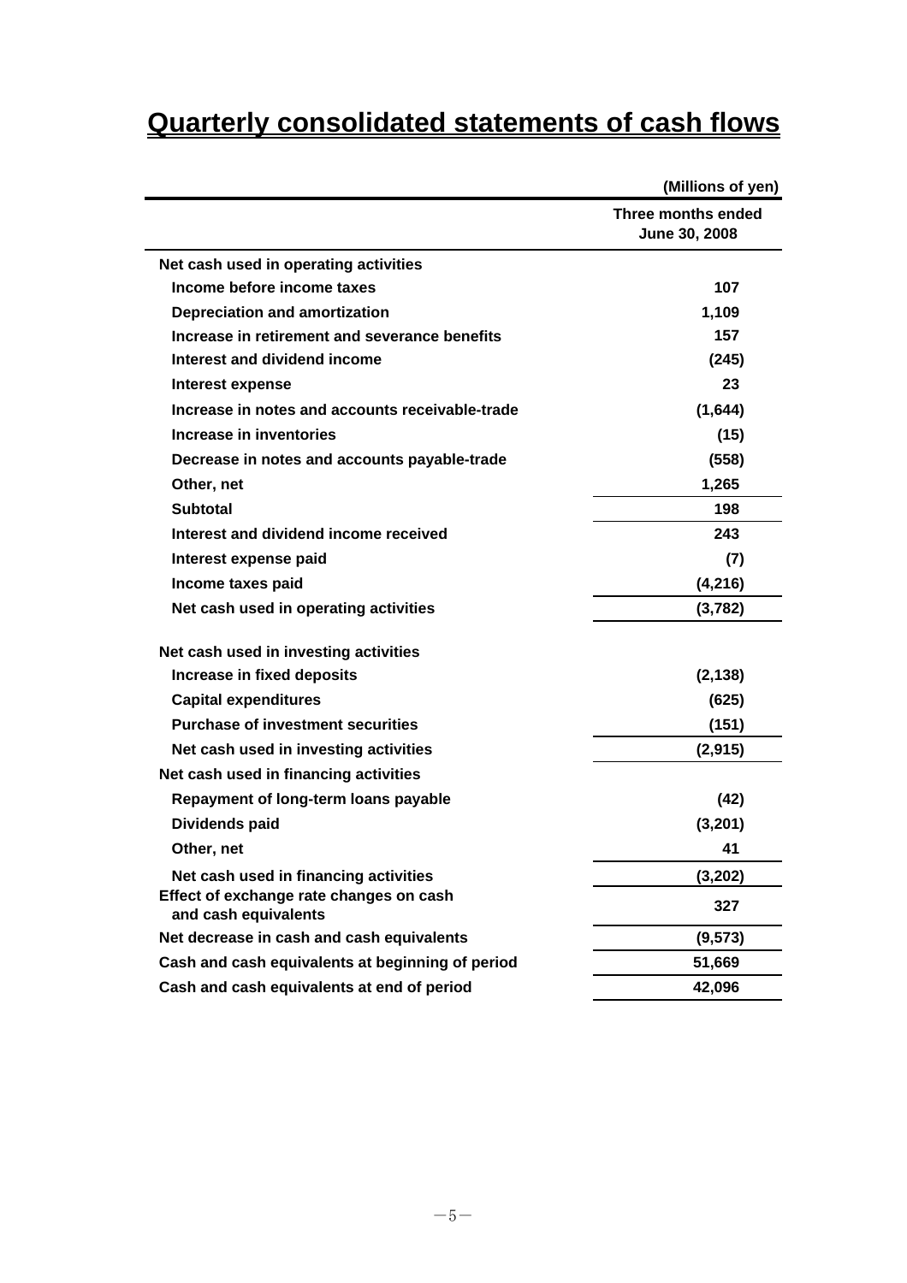# **Quarterly consolidated statements of cash flows**

|                                                                 | (Millions of yen)                   |
|-----------------------------------------------------------------|-------------------------------------|
|                                                                 | Three months ended<br>June 30, 2008 |
| Net cash used in operating activities                           |                                     |
| Income before income taxes                                      | 107                                 |
| <b>Depreciation and amortization</b>                            | 1,109                               |
| Increase in retirement and severance benefits                   | 157                                 |
| Interest and dividend income                                    | (245)                               |
| Interest expense                                                | 23                                  |
| Increase in notes and accounts receivable-trade                 | (1,644)                             |
| Increase in inventories                                         | (15)                                |
| Decrease in notes and accounts payable-trade                    | (558)                               |
| Other, net                                                      | 1,265                               |
| <b>Subtotal</b>                                                 | 198                                 |
| Interest and dividend income received                           | 243                                 |
| Interest expense paid                                           | (7)                                 |
| Income taxes paid                                               | (4,216)                             |
| Net cash used in operating activities                           | (3,782)                             |
| Net cash used in investing activities                           |                                     |
| Increase in fixed deposits                                      | (2, 138)                            |
| <b>Capital expenditures</b>                                     | (625)                               |
| <b>Purchase of investment securities</b>                        | (151)                               |
| Net cash used in investing activities                           | (2,915)                             |
| Net cash used in financing activities                           |                                     |
| Repayment of long-term loans payable                            | (42)                                |
| <b>Dividends paid</b>                                           | (3,201)                             |
| Other, net                                                      | 41                                  |
| Net cash used in financing activities                           | (3, 202)                            |
| Effect of exchange rate changes on cash<br>and cash equivalents | 327                                 |
| Net decrease in cash and cash equivalents                       | (9, 573)                            |
| Cash and cash equivalents at beginning of period                | 51,669                              |
| Cash and cash equivalents at end of period                      | 42,096                              |
|                                                                 |                                     |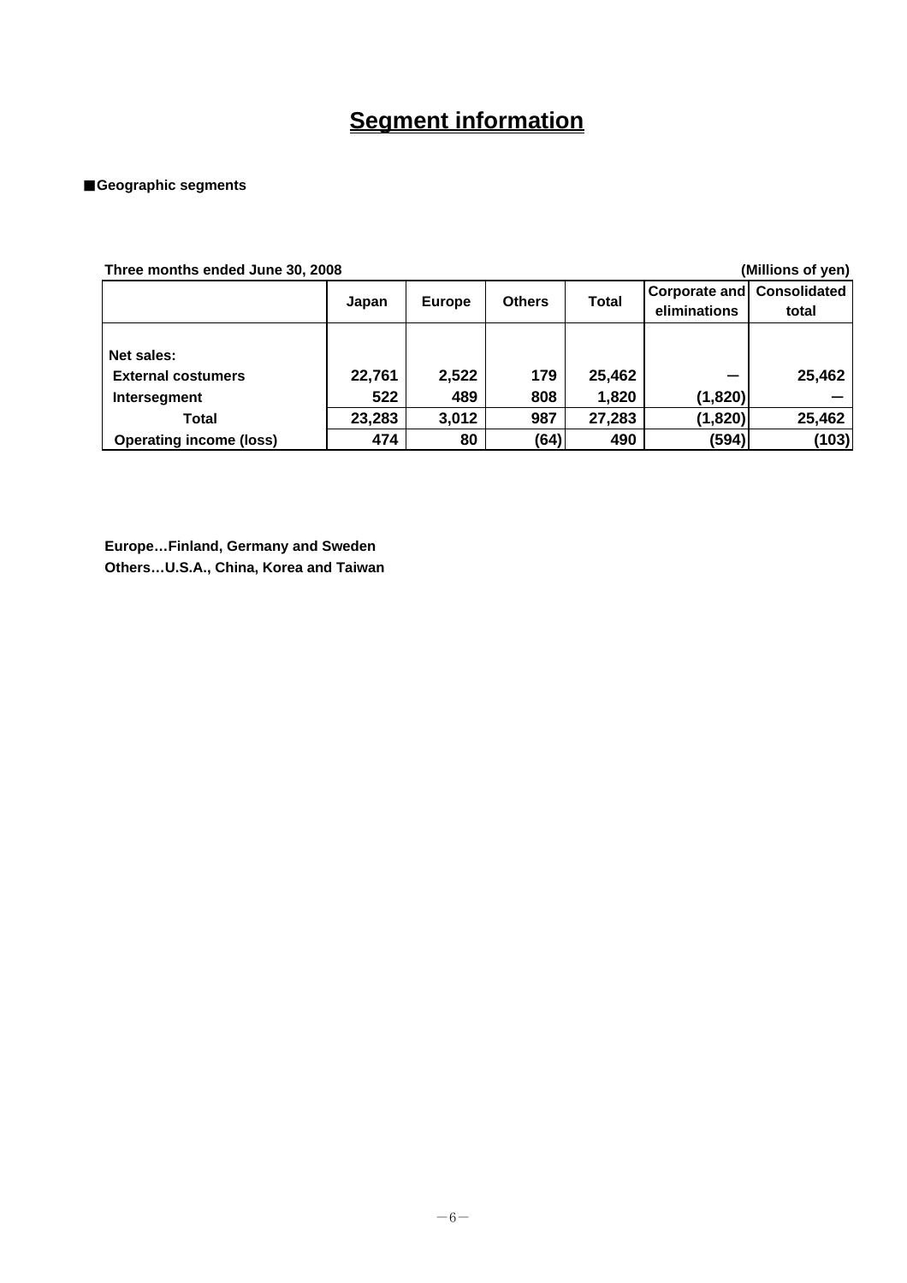## **Segment information**

### ■**Geographic segments**

| Three months ended June 30, 2008                        |               |               |               |                 | (Millions of yen)                                 |        |
|---------------------------------------------------------|---------------|---------------|---------------|-----------------|---------------------------------------------------|--------|
|                                                         | Japan         | <b>Europe</b> | <b>Others</b> | <b>Total</b>    | <b>Corporate and Consolidated</b><br>eliminations | total  |
| Net sales:<br><b>External costumers</b><br>Intersegment | 22,761<br>522 | 2,522<br>489  | 179<br>808    | 25,462<br>1,820 | (1,820)                                           | 25,462 |
| Total                                                   | 23,283        | 3,012         | 987           | 27,283          | (1,820)                                           | 25,462 |
| <b>Operating income (loss)</b>                          | 474           | 80            | (64)          | 490             | (594)                                             | (103)  |

**Europe…Finland, Germany and Sweden Others…U.S.A., China, Korea and Taiwan**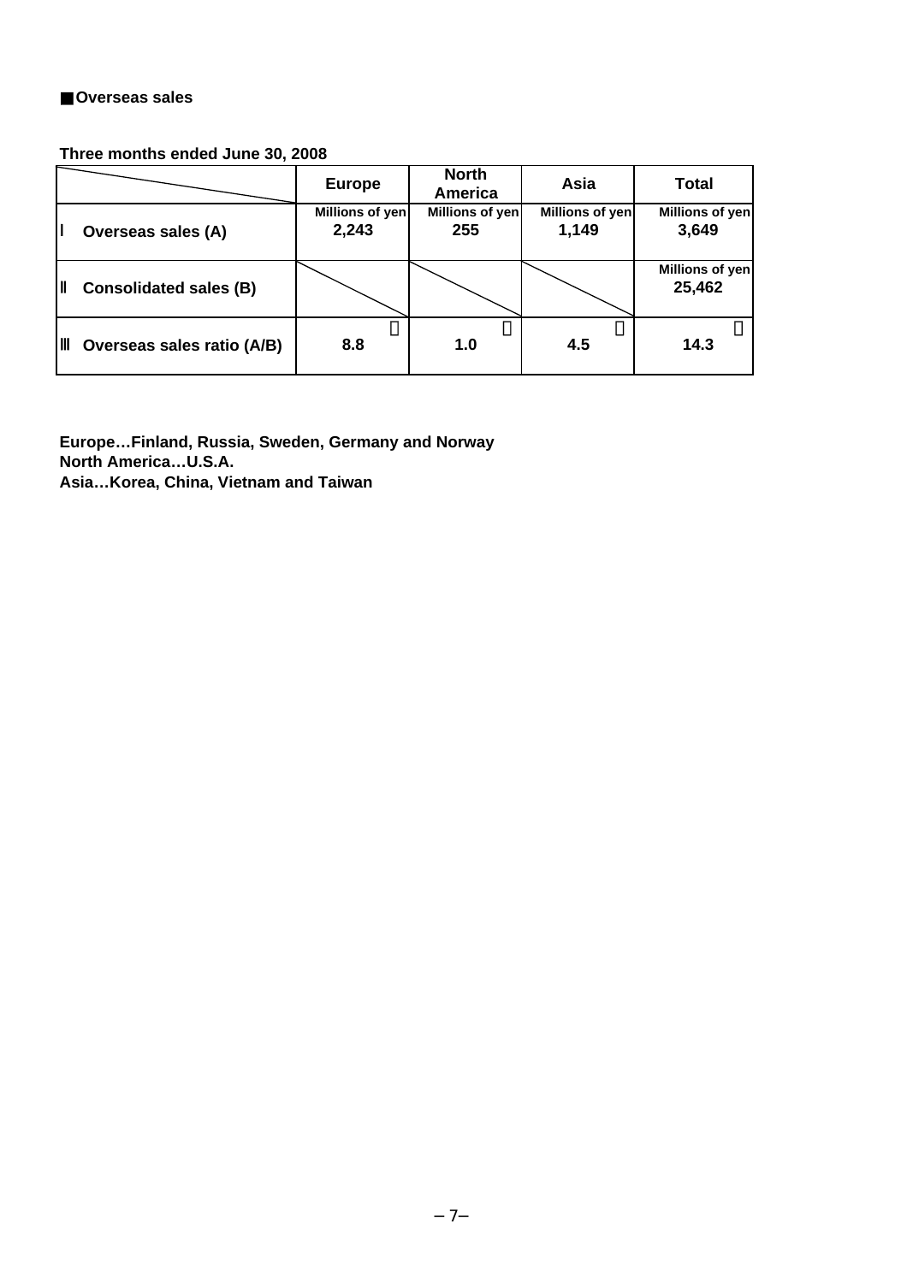### ■**Overseas sales**

## **Three months ended June 30, 2008**

|                               | <b>Europe</b>            | <b>North</b><br><b>America</b> | Asia                     | Total                     |
|-------------------------------|--------------------------|--------------------------------|--------------------------|---------------------------|
| Overseas sales (A)            | Millions of yen<br>2,243 | Millions of yen<br>255         | Millions of yen<br>1,149 | Millions of yen<br>3,649  |
| <b>Consolidated sales (B)</b> |                          |                                |                          | Millions of yen<br>25,462 |
| Overseas sales ratio (A/B)    | 8.8                      | 1.0                            | 4.5                      | 14.3                      |

**Europe…Finland, Russia, Sweden, Germany and Norway North America…U.S.A. Asia…Korea, China, Vietnam and Taiwan**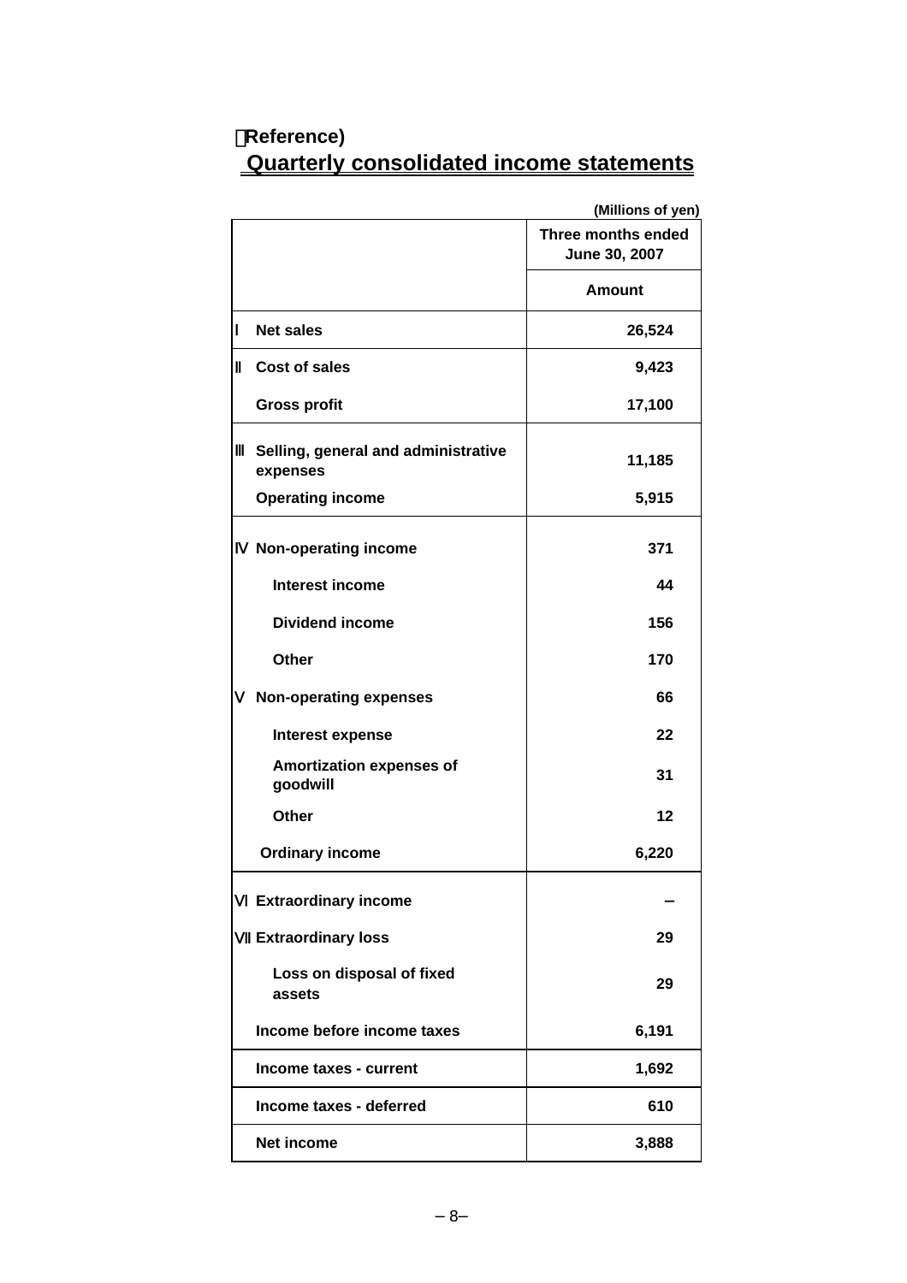|                                                 | (Millions of yen)                   |
|-------------------------------------------------|-------------------------------------|
|                                                 | Three months ended<br>June 30, 2007 |
|                                                 | <b>Amount</b>                       |
| <b>Net sales</b>                                | 26,524                              |
| Cost of sales                                   | 9,423                               |
| <b>Gross profit</b>                             | 17,100                              |
| Selling, general and administrative<br>expenses | 11,185                              |
| <b>Operating income</b>                         | 5,915                               |
| Non-operating income                            | 371                                 |
| Interest income                                 | 44                                  |
| <b>Dividend income</b>                          | 156                                 |
| Other                                           | 170                                 |
| <b>Non-operating expenses</b>                   | 66                                  |
| Interest expense                                | 22                                  |
| <b>Amortization expenses of</b><br>goodwill     | 31                                  |
| Other                                           | 12                                  |
| <b>Ordinary income</b>                          | 6,220                               |
| <b>Extraordinary income</b>                     |                                     |
| <b>Extraordinary loss</b>                       | 29                                  |
| Loss on disposal of fixed<br>assets             | 29                                  |
| Income before income taxes                      | 6,191                               |
| Income taxes - current                          | 1,692                               |
| Income taxes - deferred                         | 610                                 |
| <b>Net income</b>                               | 3,888                               |

## (**Reference) Quarterly consolidated income statements**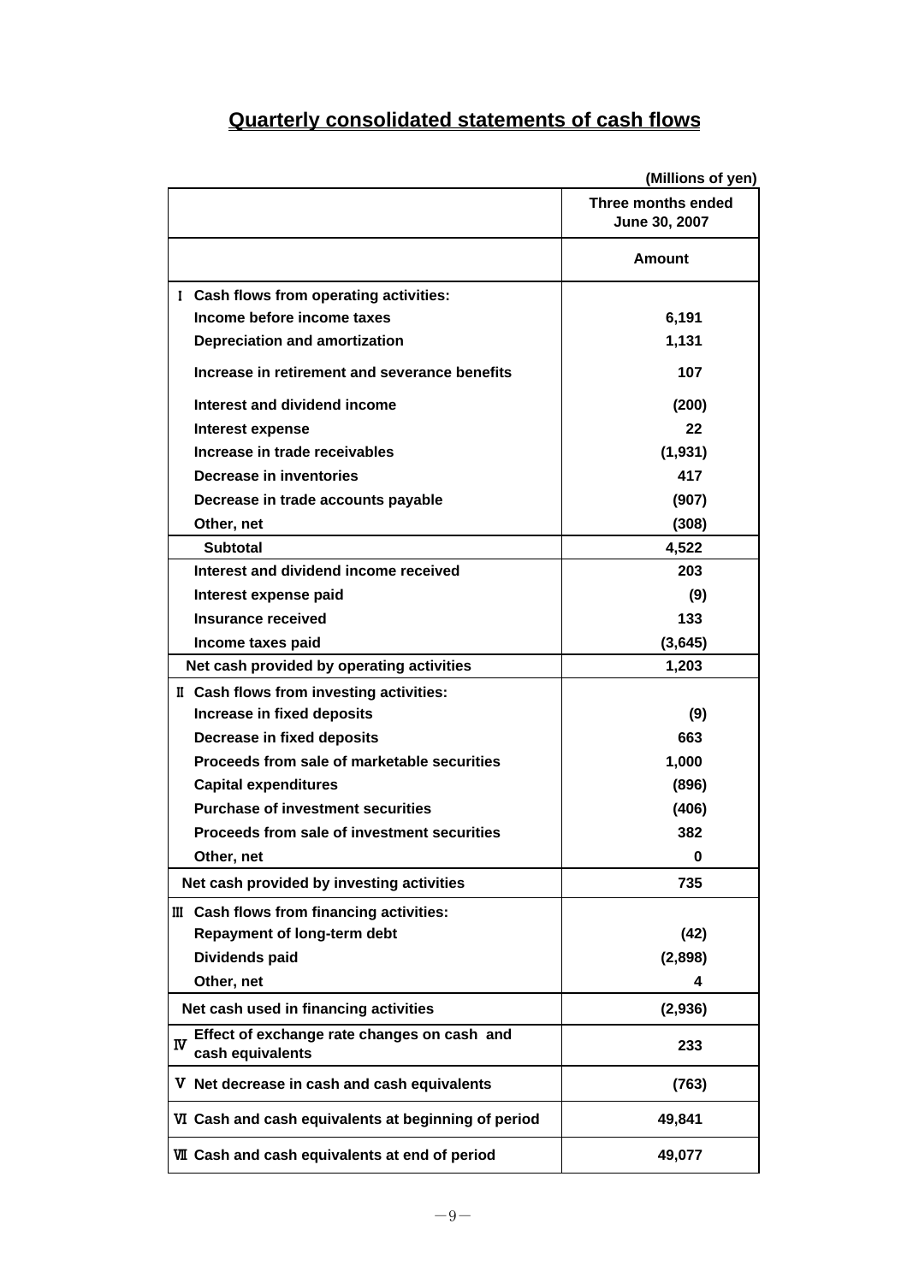## **Quarterly consolidated statements of cash flows**

|                                                                      | (Millions of yen)                   |
|----------------------------------------------------------------------|-------------------------------------|
|                                                                      | Three months ended<br>June 30, 2007 |
|                                                                      | <b>Amount</b>                       |
| I Cash flows from operating activities:                              |                                     |
| Income before income taxes                                           | 6,191                               |
| <b>Depreciation and amortization</b>                                 | 1,131                               |
| Increase in retirement and severance benefits                        | 107                                 |
| Interest and dividend income                                         | (200)                               |
| Interest expense                                                     | 22                                  |
| Increase in trade receivables                                        | (1,931)                             |
| Decrease in inventories                                              | 417                                 |
| Decrease in trade accounts payable                                   | (907)                               |
| Other, net                                                           | (308)                               |
| <b>Subtotal</b>                                                      | 4,522                               |
| Interest and dividend income received                                | 203                                 |
| Interest expense paid                                                | (9)                                 |
| Insurance received                                                   | 133                                 |
| Income taxes paid                                                    | (3,645)                             |
| Net cash provided by operating activities                            | 1,203                               |
| II Cash flows from investing activities:                             |                                     |
| Increase in fixed deposits                                           | (9)                                 |
| Decrease in fixed deposits                                           | 663                                 |
| Proceeds from sale of marketable securities                          | 1,000                               |
| <b>Capital expenditures</b>                                          | (896)                               |
| <b>Purchase of investment securities</b>                             | (406)                               |
| Proceeds from sale of investment securities                          | 382                                 |
| Other, net                                                           | $\bf{0}$                            |
| Net cash provided by investing activities                            | 735                                 |
| III Cash flows from financing activities:                            |                                     |
| <b>Repayment of long-term debt</b>                                   | (42)                                |
| Dividends paid                                                       | (2,898)                             |
| Other, net                                                           | 4                                   |
| Net cash used in financing activities                                | (2,936)                             |
| Effect of exchange rate changes on cash and<br>w<br>cash equivalents | 233                                 |
| V Net decrease in cash and cash equivalents                          | (763)                               |
| VI Cash and cash equivalents at beginning of period                  | 49,841                              |
| <b>WI</b> Cash and cash equivalents at end of period                 | 49,077                              |